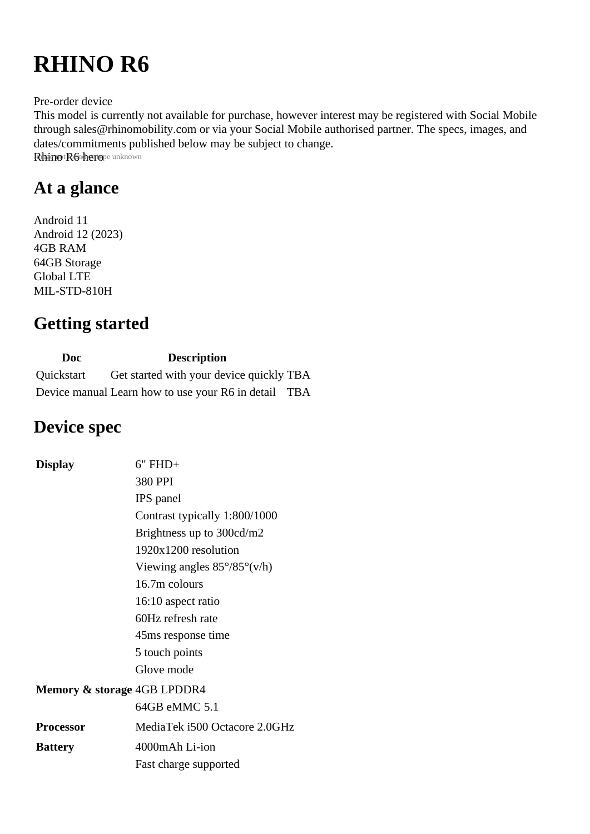# **RHINO R6**

Pre-order device

This model is currently not available for purchase, however interest may be registered with Social Mobile through sales@rhinomobility.com or via your Social Mobile authorised partner. The specs, images, and dates/commitments published below may be subject to change. Rhinot R6 herope unknown

## **At a glance**

Android 11 Android 12 (2023) 4GB RAM 64GB Storage Global LTE MIL-STD-810H

#### **Getting started**

| Doc.       | <b>Description</b>                                   |  |
|------------|------------------------------------------------------|--|
| Quickstart | Get started with your device quickly TBA             |  |
|            | Device manual Learn how to use your R6 in detail TBA |  |

#### **Device spec**

| <b>Display</b>                         | $6"$ FHD+                                    |
|----------------------------------------|----------------------------------------------|
|                                        | 380 PPI                                      |
|                                        | <b>IPS</b> panel                             |
|                                        | Contrast typically 1:800/1000                |
|                                        | Brightness up to 300cd/m2                    |
|                                        | $1920x1200$ resolution                       |
|                                        | Viewing angles $85^{\circ}/85^{\circ}$ (v/h) |
|                                        | 16.7m colours                                |
|                                        | 16:10 aspect ratio                           |
|                                        | 60Hz refresh rate                            |
|                                        | 45 ms response time                          |
|                                        | 5 touch points                               |
|                                        | Glove mode                                   |
| <b>Memory &amp; storage 4GB LPDDR4</b> |                                              |
|                                        | 64GB eMMC 5.1                                |
| <b>Processor</b>                       | MediaTek i500 Octacore 2.0GHz                |
| <b>Battery</b>                         | 4000mAh Li-ion                               |
|                                        | Fast charge supported                        |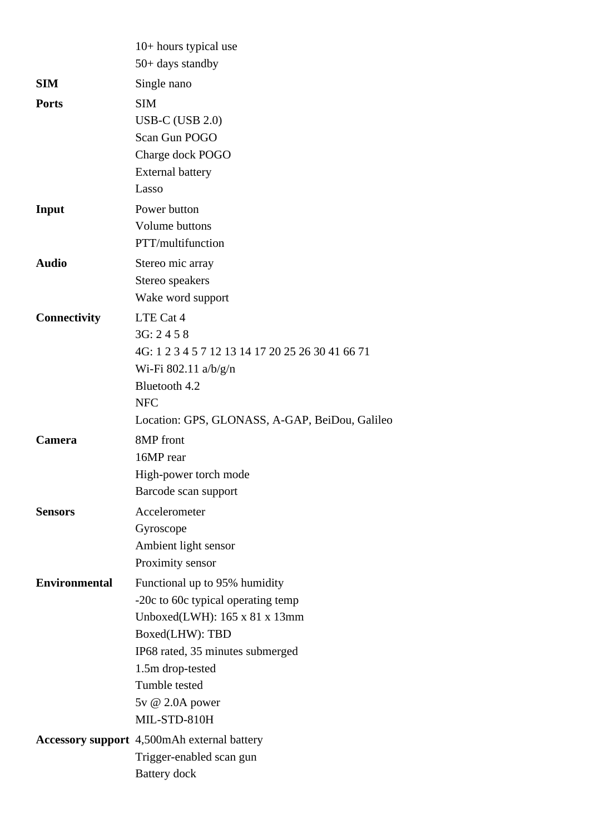|                      | $10+$ hours typical use<br>$50+$ days standby      |
|----------------------|----------------------------------------------------|
| <b>SIM</b>           |                                                    |
|                      | Single nano                                        |
| <b>Ports</b>         | <b>SIM</b>                                         |
|                      | <b>USB-C (USB 2.0)</b>                             |
|                      | Scan Gun POGO                                      |
|                      | Charge dock POGO                                   |
|                      | <b>External battery</b>                            |
|                      | Lasso                                              |
| Input                | Power button                                       |
|                      | Volume buttons                                     |
|                      | PTT/multifunction                                  |
| <b>Audio</b>         | Stereo mic array                                   |
|                      | Stereo speakers                                    |
|                      | Wake word support                                  |
| <b>Connectivity</b>  | LTE Cat 4                                          |
|                      | 3G: 2458                                           |
|                      | 4G: 1 2 3 4 5 7 12 13 14 17 20 25 26 30 41 66 71   |
|                      | Wi-Fi 802.11 $a/b/g/n$                             |
|                      | Bluetooth 4.2                                      |
|                      | <b>NFC</b>                                         |
|                      | Location: GPS, GLONASS, A-GAP, BeiDou, Galileo     |
| <b>Camera</b>        | 8MP front                                          |
|                      | 16MP rear                                          |
|                      | High-power torch mode                              |
|                      | Barcode scan support                               |
| <b>Sensors</b>       | Accelerometer                                      |
|                      | Gyroscope                                          |
|                      | Ambient light sensor                               |
|                      | Proximity sensor                                   |
| <b>Environmental</b> | Functional up to 95% humidity                      |
|                      | -20c to 60c typical operating temp                 |
|                      | Unboxed(LWH): $165 \times 81 \times 13$ mm         |
|                      | Boxed(LHW): TBD                                    |
|                      | IP68 rated, 35 minutes submerged                   |
|                      | 1.5m drop-tested                                   |
|                      | Tumble tested                                      |
|                      | 5v @ 2.0A power                                    |
|                      | MIL-STD-810H                                       |
|                      | <b>Accessory support</b> 4,500mAh external battery |
|                      | Trigger-enabled scan gun                           |
|                      | <b>Battery</b> dock                                |